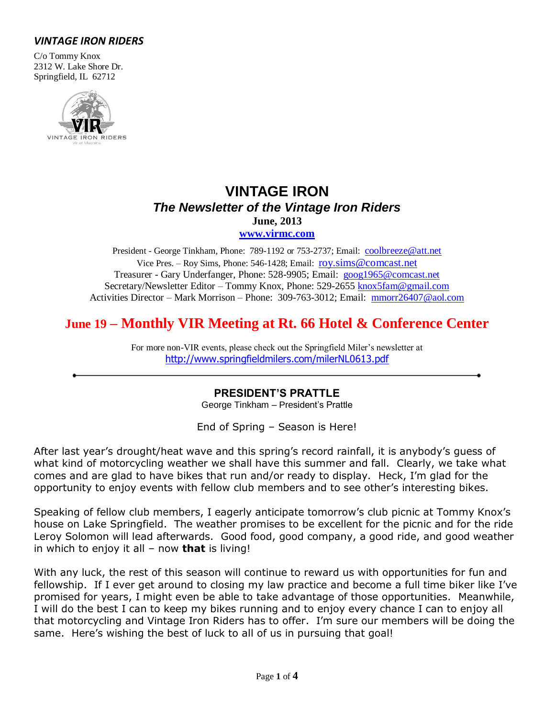## *VINTAGE IRON RIDERS*

C/o Tommy Knox 2312 W. Lake Shore Dr. Springfield, IL 62712



# **VINTAGE IRON** *The Newsletter of the Vintage Iron Riders* **June, 2013 [www.virmc.com](http://www.virmc.com/)**

President - George Tinkham, Phone: 789-1192 or 753-2737; Email: [coolbreeze@att.net](mailto:coolbreeze@att.net) Vice Pres. – Roy Sims, Phone: 546-1428; Email: [roy.sims@comcast.net](mailto:roy.sims@comcast.net) Treasurer - Gary Underfanger, Phone: 528-9905; Email: [goog1965@comcast.net](mailto:goog1965@comcast.net) Secretary/Newsletter Editor – Tommy Knox, Phone: 529-2655 [knox5fam@gmail.com](mailto:knox5fam@gmail.com) Activities Director – Mark Morrison – Phone: 309-763-3012; Email: [mmorr26407@aol.com](mailto:mmorr26407@aol.com)

# **June 19 – Monthly VIR Meeting at Rt. 66 Hotel & Conference Center**

For more non-VIR events, please check out the Springfield Miler's newsletter at [http://www.springfieldmilers.com/milerNL0613.pdf](http://www.springfieldmilers.com/milerNL0113.pdf)

## **PRESIDENT'S PRATTLE**

George Tinkham – President's Prattle

End of Spring – Season is Here!

After last year's drought/heat wave and this spring's record rainfall, it is anybody's guess of what kind of motorcycling weather we shall have this summer and fall. Clearly, we take what comes and are glad to have bikes that run and/or ready to display. Heck, I'm glad for the opportunity to enjoy events with fellow club members and to see other's interesting bikes.

Speaking of fellow club members, I eagerly anticipate tomorrow's club picnic at Tommy Knox's house on Lake Springfield. The weather promises to be excellent for the picnic and for the ride Leroy Solomon will lead afterwards. Good food, good company, a good ride, and good weather in which to enjoy it all – now **that** is living!

With any luck, the rest of this season will continue to reward us with opportunities for fun and fellowship. If I ever get around to closing my law practice and become a full time biker like I've promised for years, I might even be able to take advantage of those opportunities. Meanwhile, I will do the best I can to keep my bikes running and to enjoy every chance I can to enjoy all that motorcycling and Vintage Iron Riders has to offer. I'm sure our members will be doing the same. Here's wishing the best of luck to all of us in pursuing that goal!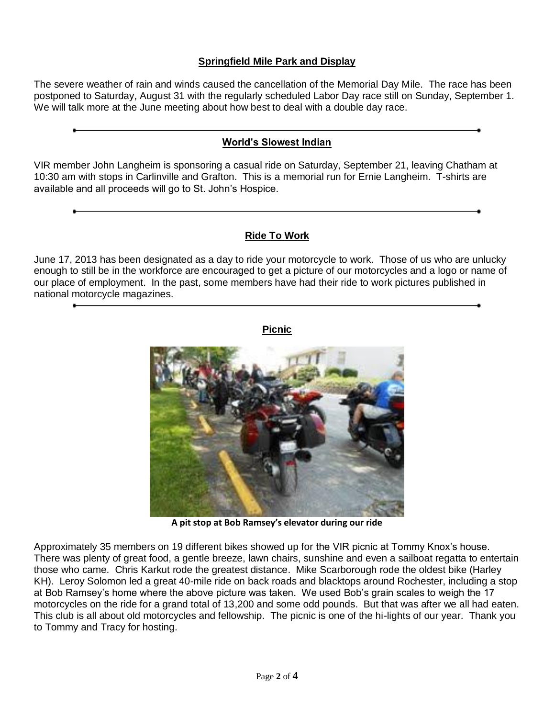#### **Springfield Mile Park and Display**

The severe weather of rain and winds caused the cancellation of the Memorial Day Mile. The race has been postponed to Saturday, August 31 with the regularly scheduled Labor Day race still on Sunday, September 1. We will talk more at the June meeting about how best to deal with a double day race.

#### **World's Slowest Indian**

VIR member John Langheim is sponsoring a casual ride on Saturday, September 21, leaving Chatham at 10:30 am with stops in Carlinville and Grafton. This is a memorial run for Ernie Langheim. T-shirts are available and all proceeds will go to St. John's Hospice.

#### **Ride To Work**

June 17, 2013 has been designated as a day to ride your motorcycle to work. Those of us who are unlucky enough to still be in the workforce are encouraged to get a picture of our motorcycles and a logo or name of our place of employment. In the past, some members have had their ride to work pictures published in national motorcycle magazines.

**Picnic**



**A pit stop at Bob Ramsey's elevator during our ride**

Approximately 35 members on 19 different bikes showed up for the VIR picnic at Tommy Knox's house. There was plenty of great food, a gentle breeze, lawn chairs, sunshine and even a sailboat regatta to entertain those who came. Chris Karkut rode the greatest distance. Mike Scarborough rode the oldest bike (Harley KH). Leroy Solomon led a great 40-mile ride on back roads and blacktops around Rochester, including a stop at Bob Ramsey's home where the above picture was taken. We used Bob's grain scales to weigh the 17 motorcycles on the ride for a grand total of 13,200 and some odd pounds. But that was after we all had eaten. This club is all about old motorcycles and fellowship. The picnic is one of the hi-lights of our year. Thank you to Tommy and Tracy for hosting.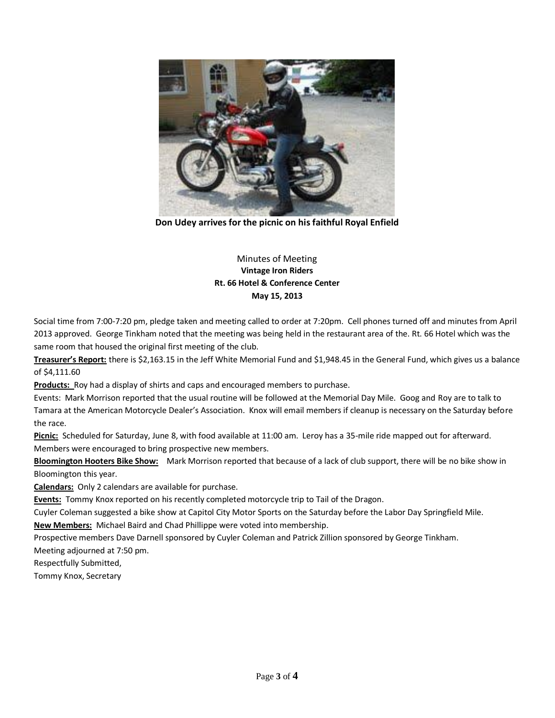

**Don Udey arrives for the picnic on his faithful Royal Enfield**

#### Minutes of Meeting **Vintage Iron Riders Rt. 66 Hotel & Conference Center May 15, 2013**

Social time from 7:00-7:20 pm, pledge taken and meeting called to order at 7:20pm. Cell phones turned off and minutes from April 2013 approved. George Tinkham noted that the meeting was being held in the restaurant area of the. Rt. 66 Hotel which was the same room that housed the original first meeting of the club.

**Treasurer's Report:** there is \$2,163.15 in the Jeff White Memorial Fund and \$1,948.45 in the General Fund, which gives us a balance of \$4,111.60

**Products:** Roy had a display of shirts and caps and encouraged members to purchase.

Events: Mark Morrison reported that the usual routine will be followed at the Memorial Day Mile. Goog and Roy are to talk to Tamara at the American Motorcycle Dealer's Association. Knox will email members if cleanup is necessary on the Saturday before the race.

**Picnic:** Scheduled for Saturday, June 8, with food available at 11:00 am. Leroy has a 35-mile ride mapped out for afterward. Members were encouraged to bring prospective new members.

**Bloomington Hooters Bike Show:** Mark Morrison reported that because of a lack of club support, there will be no bike show in Bloomington this year.

**Calendars:** Only 2 calendars are available for purchase.

**Events:** Tommy Knox reported on his recently completed motorcycle trip to Tail of the Dragon.

Cuyler Coleman suggested a bike show at Capitol City Motor Sports on the Saturday before the Labor Day Springfield Mile.

**New Members:** Michael Baird and Chad Phillippe were voted into membership.

Prospective members Dave Darnell sponsored by Cuyler Coleman and Patrick Zillion sponsored by George Tinkham.

Meeting adjourned at 7:50 pm.

Respectfully Submitted,

Tommy Knox, Secretary